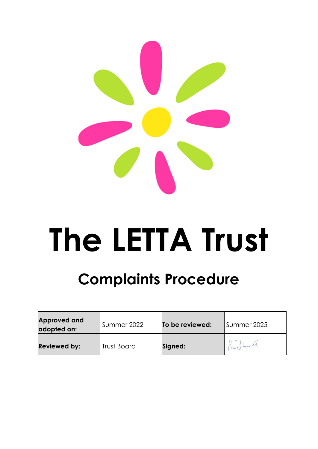

# **The LETTA Trust**

# **Complaints Procedure**

| Approved and<br>adopted on: | Summer 2022 | To be reviewed: | Summer 2025 |
|-----------------------------|-------------|-----------------|-------------|
| <b>Reviewed by:</b>         | Trust Board | Signed:         | endhamil    |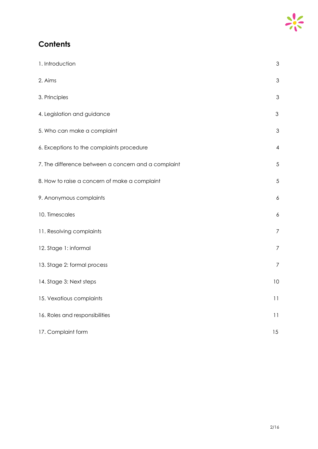## **Contents**

| 1. Introduction                                     | 3              |
|-----------------------------------------------------|----------------|
| 2. Aims                                             | 3              |
| 3. Principles                                       | $\mathfrak 3$  |
| 4. Legislation and guidance                         | 3              |
| 5. Who can make a complaint                         | 3              |
| 6. Exceptions to the complaints procedure           | 4              |
| 7. The difference between a concern and a complaint | 5              |
| 8. How to raise a concern of make a complaint       | 5              |
| 9. Anonymous complaints                             | 6              |
| 10. Timescales                                      | 6              |
| 11. Resolving complaints                            | $\overline{7}$ |
| 12. Stage 1: informal                               | $\overline{7}$ |
| 13. Stage 2: formal process                         | $\overline{7}$ |
| 14. Stage 3: Next steps                             | 10             |
| 15. Vexatious complaints                            | 11             |
| 16. Roles and responsibilities                      | 11             |
| 17. Complaint form                                  | 15             |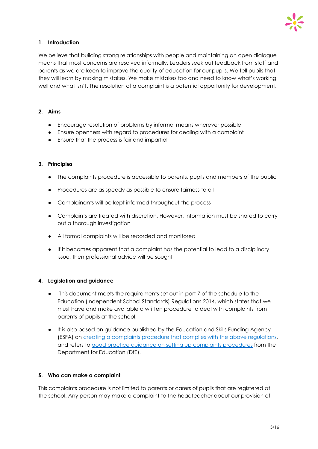

#### **1. Introduction**

We believe that building strong relationships with people and maintaining an open dialogue means that most concerns are resolved informally. Leaders seek out feedback from staff and parents as we are keen to improve the quality of education for our pupils. We tell pupils that they will learn by making mistakes. We make mistakes too and need to know what's working well and what isn't. The resolution of a complaint is a potential opportunity for development.

#### **2. Aims**

- Encourage resolution of problems by informal means wherever possible
- Ensure openness with regard to procedures for dealing with a complaint
- Ensure that the process is fair and impartial

#### **3. Principles**

- The complaints procedure is accessible to parents, pupils and members of the public
- Procedures are as speedy as possible to ensure fairness to all
- Complainants will be kept informed throughout the process
- Complaints are treated with discretion. However, information must be shared to carry out a thorough investigation
- All formal complaints will be recorded and monitored
- If it becomes apparent that a complaint has the potential to lead to a disciplinary issue, then professional advice will be sought

#### **4. Legislation and guidance**

- This document meets the requirements set out in part 7 of the schedule to the Education (Independent School Standards) Regulations 2014, which states that we must have and make available a written procedure to deal with complaints from parents of pupils at the school.
- It is also based on guidance published by the Education and Skills Funding Agency (ESFA) on creating a [complaints](https://www.gov.uk/government/publications/setting-up-an-academies-complaints-procedure) procedure that complies with the above regulations, and refers to good practice guidance on setting up complaints [procedures](https://www.gov.uk/government/publications/school-complaints-procedures) from the Department for Education (DfE).

#### **5. Who can make a complaint**

This complaints procedure is not limited to parents or carers of pupils that are registered at the school. Any person may make a complaint to the headteacher about our provision of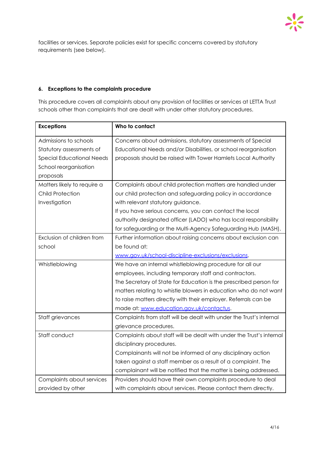

facilities or services. Separate policies exist for specific concerns covered by statutory requirements (see below).

#### **6. Exceptions to the complaints procedure**

This procedure covers all complaints about any provision of facilities or services at LETTA Trust schools other than complaints that are dealt with under other statutory procedures.

| <b>Exceptions</b>                | Who to contact                                                       |  |  |
|----------------------------------|----------------------------------------------------------------------|--|--|
| Admissions to schools            | Concerns about admissions, statutory assessments of Special          |  |  |
| Statutory assessments of         | Educational Needs and/or Disabilities, or school reorganisation      |  |  |
| <b>Special Educational Needs</b> | proposals should be raised with Tower Hamlets Local Authority        |  |  |
| School reorganisation            |                                                                      |  |  |
| proposals                        |                                                                      |  |  |
| Matters likely to require a      | Complaints about child protection matters are handled under          |  |  |
| <b>Child Protection</b>          | our child protection and safeguarding policy in accordance           |  |  |
| Investigation                    | with relevant statutory guidance.                                    |  |  |
|                                  | If you have serious concerns, you can contact the local              |  |  |
|                                  | authority designated officer (LADO) who has local responsibility     |  |  |
|                                  | for safeguarding or the Multi-Agency Safeguarding Hub (MASH).        |  |  |
| Exclusion of children from       | Further information about raising concerns about exclusion can       |  |  |
| school                           | be found at:                                                         |  |  |
|                                  | www.gov.uk/school-discipline-exclusions/exclusions.                  |  |  |
| Whistleblowing                   | We have an internal whistleblowing procedure for all our             |  |  |
|                                  | employees, including temporary staff and contractors.                |  |  |
|                                  | The Secretary of State for Education is the prescribed person for    |  |  |
|                                  | matters relating to whistle blowers in education who do not want     |  |  |
|                                  | to raise matters directly with their employer. Referrals can be      |  |  |
|                                  | made at: www.education.gov.uk/contactus.                             |  |  |
| Staff grievances                 | Complaints from staff will be dealt with under the Trust's internal  |  |  |
|                                  | grievance procedures.                                                |  |  |
| Staff conduct                    | Complaints about staff will be dealt with under the Trust's internal |  |  |
|                                  | disciplinary procedures.                                             |  |  |
|                                  | Complainants will not be informed of any disciplinary action         |  |  |
|                                  | taken against a staff member as a result of a complaint. The         |  |  |
|                                  | complainant will be notified that the matter is being addressed.     |  |  |
| Complaints about services        | Providers should have their own complaints procedure to deal         |  |  |
| provided by other                | with complaints about services. Please contact them directly.        |  |  |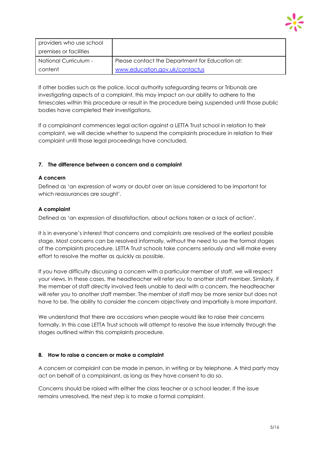

| providers who use school |                                                 |
|--------------------------|-------------------------------------------------|
| premises or facilities   |                                                 |
| - National Curriculum    | Please contact the Department for Education at: |
| content                  | www.education.gov.uk/contactus                  |

If other bodies such as the police, local authority safeguarding teams or Tribunals are investigating aspects of a complaint, this may impact on our ability to adhere to the timescales within this procedure or result in the procedure being suspended until those public bodies have completed their investigations.

If a complainant commences legal action against a LETTA Trust school in relation to their complaint, we will decide whether to suspend the complaints procedure in relation to their complaint until those legal proceedings have concluded.

#### **7. The difference between a concern and a complaint**

#### **A concern**

Defined as 'an expression of worry or doubt over an issue considered to be important for which reassurances are sought'.

#### **A complaint**

Defined as 'an expression of dissatisfaction, about actions taken or a lack of action'.

It is in everyone's interest that concerns and complaints are resolved at the earliest possible stage. Most concerns can be resolved informally, without the need to use the formal stages of the complaints procedure. LETTA Trust schools take concerns seriously and will make every effort to resolve the matter as quickly as possible.

If you have difficulty discussing a concern with a particular member of staff, we will respect your views. In these cases, the headteacher will refer you to another staff member. Similarly, if the member of staff directly involved feels unable to deal with a concern, the headteacher will refer you to another staff member. The member of staff may be more senior but does not have to be. The ability to consider the concern objectively and impartially is more important.

We understand that there are occasions when people would like to raise their concerns formally. In this case LETTA Trust schools will attempt to resolve the issue internally through the stages outlined within this complaints procedure.

#### **8. How to raise a concern or make a complaint**

A concern or complaint can be made in person, in writing or by telephone. A third party may act on behalf of a complainant, as long as they have consent to do so.

Concerns should be raised with either the class teacher or a school leader. If the issue remains unresolved, the next step is to make a formal complaint.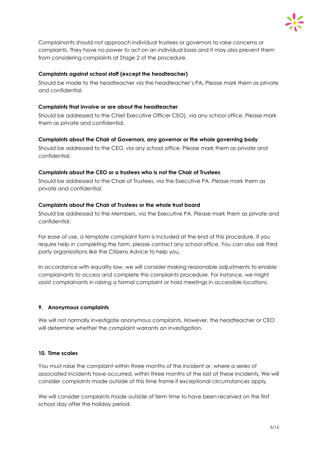

Complainants should not approach individual trustees or governors to raise concerns or complaints. They have no power to act on an individual basis and it may also prevent them from considering complaints at Stage 2 of the procedure.

#### **Complaints against school staff (except the headteacher)**

Should be made to the headteacher via the headteacher's PA*.* Please mark them as private and confidential.

#### **Complaints that involve or are about the headteacher**

Should be addressed to the Chief Executive Officer CEO), via any school office. Please mark them as private and confidential.

#### **Complaints about the Chair of Governors, any governor or the whole governing body**

Should be addressed to the CEO, via any school office. Please mark them as private and confidential.

#### **Complaints about the CEO or a trustees who is not the Chair of Trustees**

Should be addressed to the Chair of Trustees, via the Executive PA. Please mark them as private and confidential.

#### **Complaints about the Chair of Trustees or the whole trust board**

Should be addressed to the Members, via the Executive PA. Please mark them as private and confidential.

For ease of use, a template complaint form is included at the end of this procedure. If you require help in completing the form, please contact any school office. You can also ask third party organisations like the Citizens Advice to help you.

In accordance with equality law, we will consider making reasonable adjustments to enable complainants to access and complete this complaints procedure. For instance, we might assist complainants in raising a formal complaint or hold meetings in accessible locations.

#### **9. Anonymous complaints**

We will not normally investigate anonymous complaints. However, the headteacher or CEO will determine whether the complaint warrants an investigation.

#### **10. Time scales**

You must raise the complaint within three months of the incident or, where a series of associated incidents have occurred, within three months of the last of these incidents. We will consider complaints made outside of this time frame if exceptional circumstances apply.

We will consider complaints made outside of term time to have been received on the first school day after the holiday period.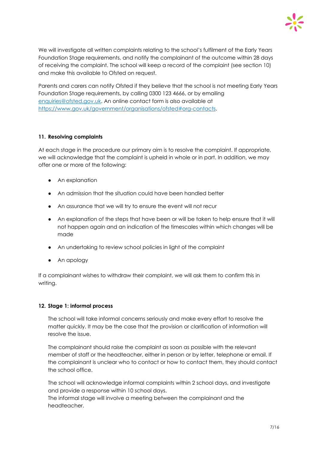

We will investigate all written complaints relating to the school's fulfilment of the Early Years Foundation Stage requirements, and notify the complainant of the outcome within 28 days of receiving the complaint. The school will keep a record of the complaint (see section 10) and make this available to Ofsted on request.

Parents and carers can notify Ofsted if they believe that the school is not meeting Early Years Foundation Stage requirements, by calling 0300 123 4666, or by emailing [enquiries@ofsted.gov.uk](mailto:enquiries@ofsted.gov.uk). An online contact form is also available at <https://www.gov.uk/government/organisations/ofsted#org-contacts>.

#### **11. Resolving complaints**

At each stage in the procedure our primary aim is to resolve the complaint. If appropriate, we will acknowledge that the complaint is upheld in whole or in part. In addition, we may offer one or more of the following:

- An explanation
- An admission that the situation could have been handled better
- An assurance that we will try to ensure the event will not recur
- An explanation of the steps that have been or will be taken to help ensure that it will not happen again and an indication of the timescales within which changes will be made
- An undertaking to review school policies in light of the complaint
- An apology

If a complainant wishes to withdraw their complaint, we will ask them to confirm this in writing.

#### **12. Stage 1: informal process**

The school will take informal concerns seriously and make every effort to resolve the matter quickly. It may be the case that the provision or clarification of information will resolve the issue.

The complainant should raise the complaint as soon as possible with the relevant member of staff or the headteacher, either in person or by letter, telephone or email. If the complainant is unclear who to contact or how to contact them, they should contact the school office.

The school will acknowledge informal complaints within 2 school days, and investigate and provide a response within 10 school days.

The informal stage will involve a meeting between the complainant and the headteacher.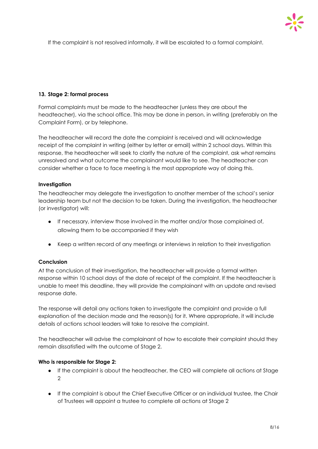

If the complaint is not resolved informally, it will be escalated to a formal complaint.

#### **13. Stage 2: formal process**

Formal complaints must be made to the headteacher (unless they are about the headteacher), via the school office. This may be done in person, in writing (preferably on the Complaint Form), or by telephone.

The headteacher will record the date the complaint is received and will acknowledge receipt of the complaint in writing (either by letter or email) within 2 school days. Within this response, the headteacher will seek to clarify the nature of the complaint, ask what remains unresolved and what outcome the complainant would like to see. The headteacher can consider whether a face to face meeting is the most appropriate way of doing this.

#### **Investigation**

The headteacher may delegate the investigation to another member of the school's senior leadership team but not the decision to be taken. During the investigation, the headteacher (or investigator) will:

- If necessary, interview those involved in the matter and/or those complained of, allowing them to be accompanied if they wish
- Keep a written record of any meetings or interviews in relation to their investigation

#### **Conclusion**

At the conclusion of their investigation, the headteacher will provide a formal written response within 10 school days of the date of receipt of the complaint. If the headteacher is unable to meet this deadline, they will provide the complainant with an update and revised response date.

The response will detail any actions taken to investigate the complaint and provide a full explanation of the decision made and the reason(s) for it. Where appropriate, it will include details of actions school leaders will take to resolve the complaint.

The headteacher will advise the complainant of how to escalate their complaint should they remain dissatisfied with the outcome of Stage 2.

#### **Who is responsible for Stage 2:**

- If the complaint is about the headteacher, the CEO will complete all actions at Stage  $\mathcal{L}$
- If the complaint is about the Chief Executive Officer or an individual trustee, the Chair of Trustees will appoint a trustee to complete all actions at Stage 2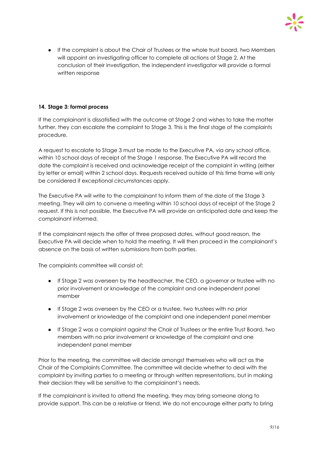

● If the complaint is about the Chair of Trustees or the whole trust board, two Members will appoint an investigating officer to complete all actions at Stage 2. At the conclusion of their investigation, the independent investigator will provide a formal written response

#### **14. Stage 3: formal process**

If the complainant is dissatisfied with the outcome at Stage 2 and wishes to take the matter further, they can escalate the complaint to Stage 3. This is the final stage of the complaints procedure.

A request to escalate to Stage 3 must be made to the Executive PA, via any school office, within 10 school days of receipt of the Stage 1 response. The Executive PA will record the date the complaint is received and acknowledge receipt of the complaint in writing (either by letter or email) within 2 school days. Requests received outside of this time frame will only be considered if exceptional circumstances apply.

The Executive PA will write to the complainant to inform them of the date of the Stage 3 meeting. They will aim to convene a meeting within 10 school days of receipt of the Stage 2 request. If this is not possible, the Executive PA will provide an anticipated date and keep the complainant informed.

If the complainant rejects the offer of three proposed dates, without good reason, the Executive PA will decide when to hold the meeting. It will then proceed in the complainant's absence on the basis of written submissions from both parties.

The complaints committee will consist of:

- If Stage 2 was overseen by the headteacher, the CEO, a governor or trustee with no prior involvement or knowledge of the complaint and one independent panel member
- If Stage 2 was overseen by the CEO or a trustee, two trustees with no prior involvement or knowledge of the complaint and one independent panel member
- If Stage 2 was a complaint against the Chair of Trustees or the entire Trust Board, two members with no prior involvement or knowledge of the complaint and one independent panel member

Prior to the meeting, the committee will decide amongst themselves who will act as the Chair of the Complaints Committee. The committee will decide whether to deal with the complaint by inviting parties to a meeting or through written representations, but in making their decision they will be sensitive to the complainant's needs.

If the complainant is invited to attend the meeting, they may bring someone along to provide support. This can be a relative or friend. We do not encourage either party to bring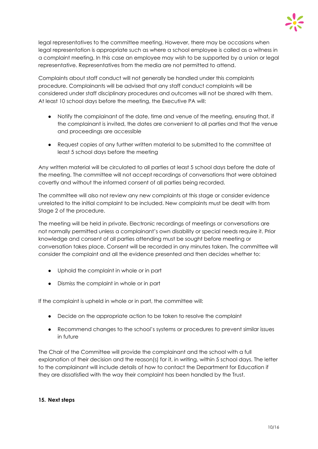

legal representatives to the committee meeting. However, there may be occasions when legal representation is appropriate such as where a school employee is called as a witness in a complaint meeting. In this case an employee may wish to be supported by a union or legal representative. Representatives from the media are not permitted to attend.

Complaints about staff conduct will not generally be handled under this complaints procedure. Complainants will be advised that any staff conduct complaints will be considered under staff disciplinary procedures and outcomes will not be shared with them. At least 10 school days before the meeting, the Executive PA will:

- Notify the complainant of the date, time and venue of the meeting, ensuring that, if the complainant is invited, the dates are convenient to all parties and that the venue and proceedings are accessible
- Request copies of any further written material to be submitted to the committee at least 5 school days before the meeting

Any written material will be circulated to all parties at least 5 school days before the date of the meeting. The committee will not accept recordings of conversations that were obtained covertly and without the informed consent of all parties being recorded.

The committee will also not review any new complaints at this stage or consider evidence unrelated to the initial complaint to be included. New complaints must be dealt with from Stage 2 of the procedure.

The meeting will be held in private. Electronic recordings of meetings or conversations are not normally permitted unless a complainant's own disability or special needs require it. Prior knowledge and consent of all parties attending must be sought before meeting or conversation takes place. Consent will be recorded in any minutes taken. The committee will consider the complaint and all the evidence presented and then decides whether to:

- Uphold the complaint in whole or in part
- Dismiss the complaint in whole or in part

If the complaint is upheld in whole or in part, the committee will:

- Decide on the appropriate action to be taken to resolve the complaint
- Recommend changes to the school's systems or procedures to prevent similar issues in future

The Chair of the Committee will provide the complainant and the school with a full explanation of their decision and the reason(s) for it, in writing, within 5 school days. The letter to the complainant will include details of how to contact the Department for Education if they are dissatisfied with the way their complaint has been handled by the Trust.

#### **15. Next steps**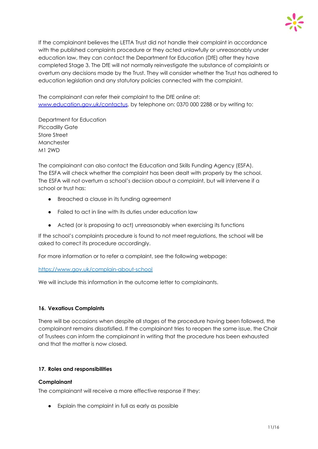

If the complainant believes the LETTA Trust did not handle their complaint in accordance with the published complaints procedure or they acted unlawfully or unreasonably under education law, they can contact the Department for Education (DfE) after they have completed Stage 3. The DfE will not normally reinvestigate the substance of complaints or overturn any decisions made by the Trust. They will consider whether the Trust has adhered to education legislation and any statutory policies connected with the complaint.

The complainant can refer their complaint to the DfE online at: [www.education.gov.uk/contactus](http://www.education.gov.uk/contactus), by telephone on: 0370 000 2288 or by writing to:

Department for Education Piccadilly Gate Store Street Manchester M1 2WD

The complainant can also contact the Education and Skills Funding Agency (ESFA). The ESFA will check whether the complaint has been dealt with properly by the school. The ESFA will not overturn a school's decision about a complaint, but will intervene if a school or trust has:

- Breached a clause in its funding agreement
- Failed to act in line with its duties under education law
- Acted (or is proposing to act) unreasonably when exercising its functions

If the school's complaints procedure is found to not meet regulations, the school will be asked to correct its procedure accordingly.

For more information or to refer a complaint, see the following webpage:

#### <https://www.gov.uk/complain-about-school>

We will include this information in the outcome letter to complainants.

#### **16. Vexatious Complaints**

There will be occasions when despite all stages of the procedure having been followed, the complainant remains dissatisfied. If the complainant tries to reopen the same issue, the Chair of Trustees can inform the complainant in writing that the procedure has been exhausted and that the matter is now closed.

#### **17. Roles and responsibilities**

#### **Complainant**

The complainant will receive a more effective response if they:

● Explain the complaint in full as early as possible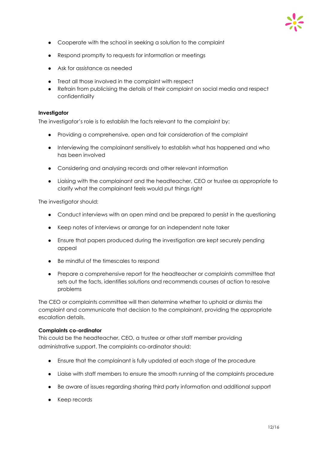

- Cooperate with the school in seeking a solution to the complaint
- Respond promptly to requests for information or meetings
- Ask for assistance as needed
- Treat all those involved in the complaint with respect
- Refrain from publicising the details of their complaint on social media and respect confidentiality

#### **Investigator**

The investigator's role is to establish the facts relevant to the complaint by:

- Providing a comprehensive, open and fair consideration of the complaint
- Interviewing the complainant sensitively to establish what has happened and who has been involved
- Considering and analysing records and other relevant information
- Liaising with the complainant and the headteacher, CEO or trustee as appropriate to clarify what the complainant feels would put things right

The investigator should:

- Conduct interviews with an open mind and be prepared to persist in the questioning
- Keep notes of interviews or arrange for an independent note taker
- Ensure that papers produced during the investigation are kept securely pending appeal
- Be mindful of the timescales to respond
- Prepare a comprehensive report for the headteacher or complaints committee that sets out the facts, identifies solutions and recommends courses of action to resolve problems

The CEO or complaints committee will then determine whether to uphold or dismiss the complaint and communicate that decision to the complainant, providing the appropriate escalation details.

#### **Complaints co-ordinator**

This could be the headteacher, CEO, a trustee or other staff member providing administrative support. The complaints co-ordinator should:

- Ensure that the complainant is fully updated at each stage of the procedure
- Liaise with staff members to ensure the smooth running of the complaints procedure
- Be aware of issues regarding sharing third party information and additional support
- Keep records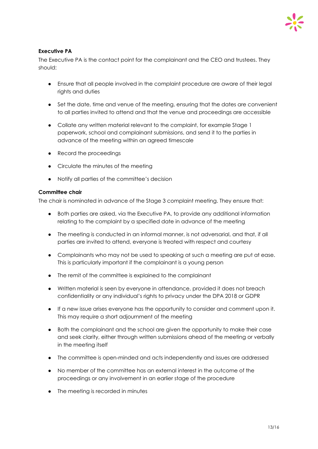#### **Executive PA**

The Executive PA is the contact point for the complainant and the CEO and trustees. They should:

- Ensure that all people involved in the complaint procedure are aware of their legal rights and duties
- Set the date, time and venue of the meeting, ensuring that the dates are convenient to all parties invited to attend and that the venue and proceedings are accessible
- Collate any written material relevant to the complaint, for example Stage 1 paperwork, school and complainant submissions, and send it to the parties in advance of the meeting within an agreed timescale
- Record the proceedings
- Circulate the minutes of the meeting
- Notify all parties of the committee's decision

#### **Committee chair**

The chair is nominated in advance of the Stage 3 complaint meeting. They ensure that:

- Both parties are asked, via the Executive PA, to provide any additional information relating to the complaint by a specified date in advance of the meeting
- The meeting is conducted in an informal manner, is not adversarial, and that, if all parties are invited to attend, everyone is treated with respect and courtesy
- Complainants who may not be used to speaking at such a meeting are put at ease. This is particularly important if the complainant is a young person
- The remit of the committee is explained to the complainant
- Written material is seen by everyone in attendance, provided it does not breach confidentiality or any individual's rights to privacy under the DPA 2018 or GDPR
- If a new issue arises everyone has the opportunity to consider and comment upon it. This may require a short adjournment of the meeting
- Both the complainant and the school are given the opportunity to make their case and seek clarity, either through written submissions ahead of the meeting or verbally in the meeting itself
- The committee is open-minded and acts independently and issues are addressed
- No member of the committee has an external interest in the outcome of the proceedings or any involvement in an earlier stage of the procedure
- The meeting is recorded in minutes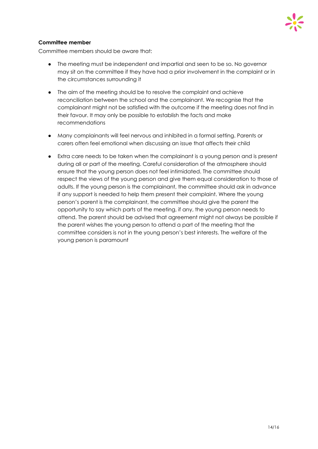

#### **Committee member**

Committee members should be aware that:

- The meeting must be independent and impartial and seen to be so. No governor may sit on the committee if they have had a prior involvement in the complaint or in the circumstances surrounding it
- The aim of the meeting should be to resolve the complaint and achieve reconciliation between the school and the complainant. We recognise that the complainant might not be satisfied with the outcome if the meeting does not find in their favour. It may only be possible to establish the facts and make recommendations
- Many complainants will feel nervous and inhibited in a formal setting. Parents or carers often feel emotional when discussing an issue that affects their child
- Extra care needs to be taken when the complainant is a young person and is present during all or part of the meeting. Careful consideration of the atmosphere should ensure that the young person does not feel intimidated. The committee should respect the views of the young person and give them equal consideration to those of adults. If the young person is the complainant, the committee should ask in advance if any support is needed to help them present their complaint. Where the young person's parent is the complainant, the committee should give the parent the opportunity to say which parts of the meeting, if any, the young person needs to attend. The parent should be advised that agreement might not always be possible if the parent wishes the young person to attend a part of the meeting that the committee considers is not in the young person's best interests. The welfare of the young person is paramount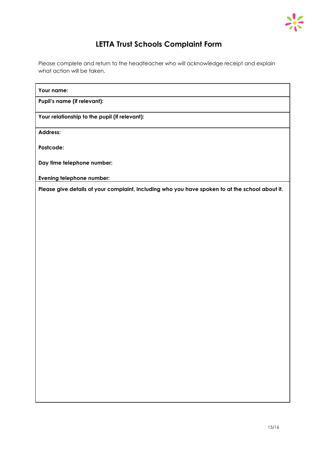

### **LETTA Trust Schools Complaint Form**

Please complete and return to the headteacher who will acknowledge receipt and explain what action will be taken.

#### **Your name:**

**Pupil's name (if relevant):**

**Your relationship to the pupil (if relevant):**

**Address:**

**Postcode:**

**Day time telephone number:**

**Evening telephone number:**

**Please give details of your complaint, including who you have spoken to at the school about it.**